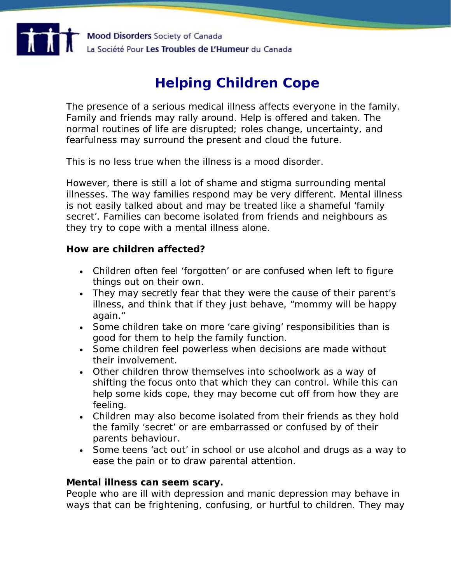

# **Helping Children Cope**

The presence of a serious medical illness affects everyone in the family. Family and friends may rally around. Help is offered and taken. The normal routines of life are disrupted; roles change, uncertainty, and fearfulness may surround the present and cloud the future.

This is no less true when the illness is a mood disorder.

However, there is still a lot of shame and stigma surrounding mental illnesses. The way families respond may be very different. Mental illness is not easily talked about and may be treated like a shameful 'family secret'. Families can become isolated from friends and neighbours as they try to cope with a mental illness alone.

### **How are children affected?**

- Children often feel 'forgotten' or are confused when left to figure things out on their own.
- They may secretly fear that they were the cause of their parent's illness, and think that if they just behave, "mommy will be happy again."
- Some children take on more 'care giving' responsibilities than is good for them to help the family function.
- Some children feel powerless when decisions are made without their involvement.
- Other children throw themselves into schoolwork as a way of shifting the focus onto that which they can control. While this can help some kids cope, they may become cut off from how they are feeling.
- Children may also become isolated from their friends as they hold the family 'secret' or are embarrassed or confused by of their parents behaviour.
- Some teens 'act out' in school or use alcohol and drugs as a way to ease the pain or to draw parental attention.

# **Mental illness can seem scary.**

People who are ill with depression and manic depression may behave in ways that can be frightening, confusing, or hurtful to children. They may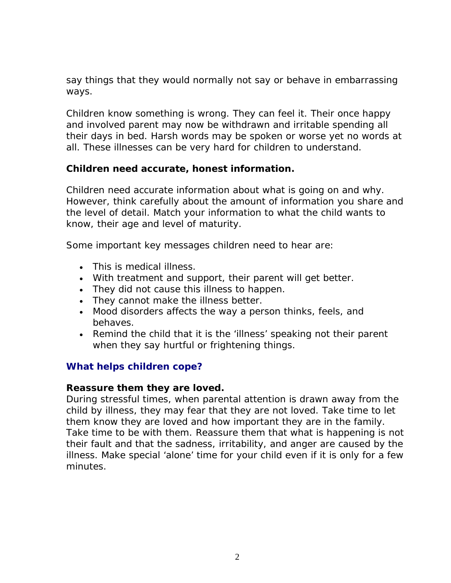say things that they would normally not say or behave in embarrassing ways.

Children know something is wrong. They can feel it. Their once happy and involved parent may now be withdrawn and irritable spending all their days in bed. Harsh words may be spoken or worse yet no words at all. These illnesses can be very hard for children to understand.

# **Children need accurate, honest information.**

Children need accurate information about what is going on and why. However, think carefully about the amount of information you share and the level of detail. Match your information to what the child wants to know, their age and level of maturity.

Some important key messages children need to hear are:

- This is medical illness.
- With treatment and support, their parent will get better.
- They did not cause this illness to happen.
- They cannot make the illness better.
- Mood disorders affects the way a person thinks, feels, and behaves.
- Remind the child that it is the 'illness' speaking not their parent when they say hurtful or frightening things.

# **What helps children cope?**

### **Reassure them they are loved.**

During stressful times, when parental attention is drawn away from the child by illness, they may fear that they are not loved. Take time to let them know they are loved and how important they are in the family. Take time to be with them. Reassure them that what is happening is not their fault and that the sadness, irritability, and anger are caused by the illness. Make special 'alone' time for your child even if it is only for a few minutes.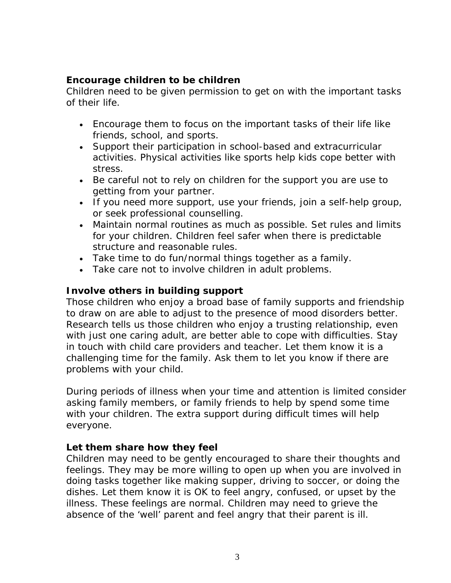# **Encourage children to be children**

Children need to be given permission to get on with the important tasks of their life.

- Encourage them to focus on the important tasks of their life like friends, school, and sports.
- Support their participation in school-based and extracurricular activities. Physical activities like sports help kids cope better with stress.
- Be careful not to rely on children for the support you are use to getting from your partner.
- If you need more support, use your friends, join a self-help group, or seek professional counselling.
- Maintain normal routines as much as possible. Set rules and limits for your children. Children feel safer when there is predictable structure and reasonable rules.
- Take time to do fun/normal things together as a family.
- Take care not to involve children in adult problems.

# **Involve others in building support**

Those children who enjoy a broad base of family supports and friendship to draw on are able to adjust to the presence of mood disorders better. Research tells us those children who enjoy a trusting relationship, even with just one caring adult, are better able to cope with difficulties. Stay in touch with child care providers and teacher. Let them know it is a challenging time for the family. Ask them to let you know if there are problems with your child.

During periods of illness when your time and attention is limited consider asking family members, or family friends to help by spend some time with your children. The extra support during difficult times will help everyone.

# **Let them share how they feel**

Children may need to be gently encouraged to share their thoughts and feelings. They may be more willing to open up when you are involved in doing tasks together like making supper, driving to soccer, or doing the dishes. Let them know it is OK to feel angry, confused, or upset by the illness. These feelings are normal. Children may need to grieve the absence of the 'well' parent and feel angry that their parent is ill.